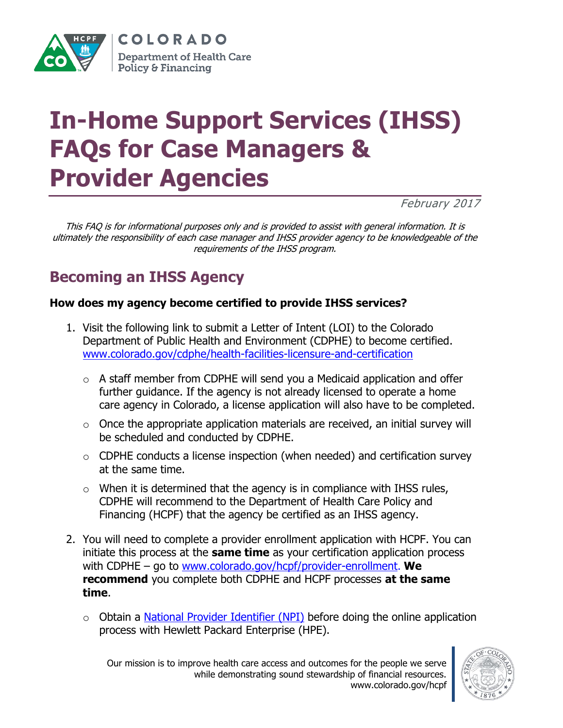

COLORADO **Department of Health Care Policy & Financing** 

# **In-Home Support Services (IHSS) FAQs for Case Managers & Provider Agencies**

February 2017

This FAQ is for informational purposes only and is provided to assist with general information. It is ultimately the responsibility of each case manager and IHSS provider agency to be knowledgeable of the requirements of the IHSS program.

# **Becoming an IHSS Agency**

#### **How does my agency become certified to provide IHSS services?**

- 1. Visit the following link to submit a Letter of Intent (LOI) to the Colorado Department of Public Health and Environment (CDPHE) to become certified. [www.colorado.gov/cdphe/health-facilities-licensure-and-certification](http://www.colorado.gov/cdphe/health-facilities-licensure-and-certification)
	- $\circ$  A staff member from CDPHE will send you a Medicaid application and offer further guidance. If the agency is not already licensed to operate a home care agency in Colorado, a license application will also have to be completed.
	- $\circ$  Once the appropriate application materials are received, an initial survey will be scheduled and conducted by CDPHE.
	- $\circ$  CDPHE conducts a license inspection (when needed) and certification survey at the same time.
	- $\circ$  When it is determined that the agency is in compliance with IHSS rules, CDPHE will recommend to the Department of Health Care Policy and Financing (HCPF) that the agency be certified as an IHSS agency.
- 2. You will need to complete a provider enrollment application with HCPF. You can initiate this process at the **same time** as your certification application process with CDPHE – go to [www.colorado.gov/hcpf/provider-enrollment](http://www.colorado.gov/hcpf/provider-enrollment). **We recommend** you complete both CDPHE and HCPF processes **at the same time**.
	- $\circ$  Obtain a [National Provider Identifier \(NPI\)](https://nppes.cms.hhs.gov/NPPES/Welcome.do) before doing the online application process with Hewlett Packard Enterprise (HPE).

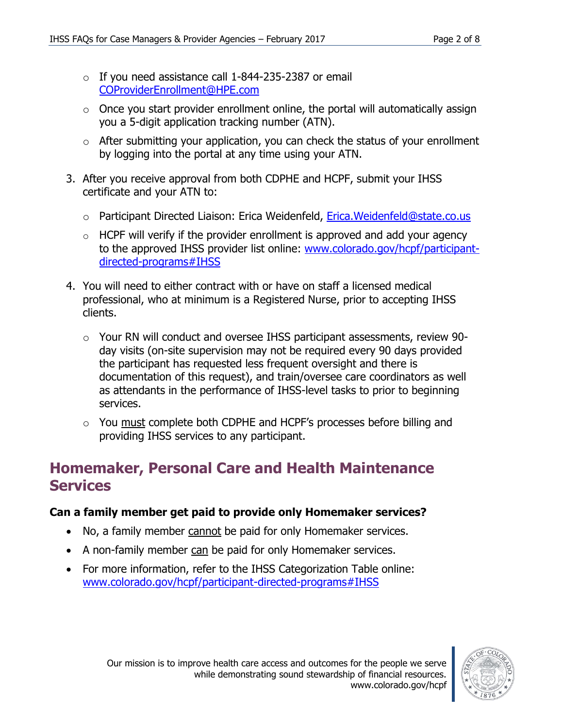- $\circ$  If you need assistance call 1-844-235-2387 or email [COProviderEnrollment@HPE.com](mailto:COProviderEnrollment@HPE.com)
- $\circ$  Once you start provider enrollment online, the portal will automatically assign you a 5-digit application tracking number (ATN).
- $\circ$  After submitting your application, you can check the status of your enrollment by logging into the portal at any time using your ATN.
- 3. After you receive approval from both CDPHE and HCPF, submit your IHSS certificate and your ATN to:
	- o Participant Directed Liaison: Erica Weidenfeld, [Erica.Weidenfeld@state.co.us](mailto:Erica.Weidenfeld@state.co.us)
	- $\circ$  HCPF will verify if the provider enrollment is approved and add your agency to the approved IHSS provider list online: [www.colorado.gov/hcpf/participant](http://www.colorado.gov/hcpf/participant-directed-programs#IHSS)[directed-programs#IHSS](http://www.colorado.gov/hcpf/participant-directed-programs#IHSS)
- 4. You will need to either contract with or have on staff a licensed medical professional, who at minimum is a Registered Nurse, prior to accepting IHSS clients.
	- o Your RN will conduct and oversee IHSS participant assessments, review 90 day visits (on-site supervision may not be required every 90 days provided the participant has requested less frequent oversight and there is documentation of this request), and train/oversee care coordinators as well as attendants in the performance of IHSS-level tasks to prior to beginning services.
	- o You must complete both CDPHE and HCPF's processes before billing and providing IHSS services to any participant.

### **Homemaker, Personal Care and Health Maintenance Services**

#### **Can a family member get paid to provide only Homemaker services?**

- No, a family member cannot be paid for only Homemaker services.
- A non-family member can be paid for only Homemaker services.
- For more information, refer to the IHSS Categorization Table online: [www.colorado.gov/hcpf/participant-directed-programs#IHSS](http://www.colorado.gov/hcpf/participant-directed-programs#IHSS)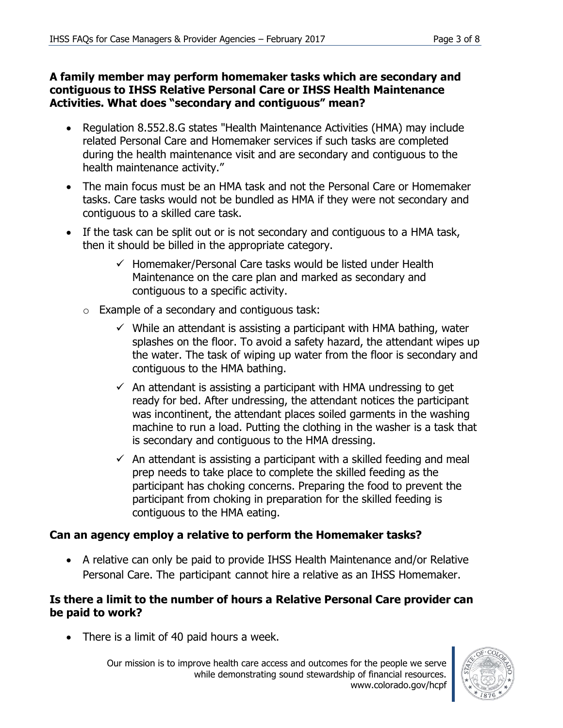#### **A family member may perform homemaker tasks which are secondary and contiguous to IHSS Relative Personal Care or IHSS Health Maintenance Activities. What does "secondary and contiguous" mean?**

- Regulation 8.552.8.G states "Health Maintenance Activities (HMA) may include related Personal Care and Homemaker services if such tasks are completed during the health maintenance visit and are secondary and contiguous to the health maintenance activity."
- The main focus must be an HMA task and not the Personal Care or Homemaker tasks. Care tasks would not be bundled as HMA if they were not secondary and contiguous to a skilled care task.
- If the task can be split out or is not secondary and contiguous to a HMA task, then it should be billed in the appropriate category.
	- $\checkmark$  Homemaker/Personal Care tasks would be listed under Health Maintenance on the care plan and marked as secondary and contiguous to a specific activity.
	- $\circ$  Example of a secondary and contiguous task:
		- $\checkmark$  While an attendant is assisting a participant with HMA bathing, water splashes on the floor. To avoid a safety hazard, the attendant wipes up the water. The task of wiping up water from the floor is secondary and contiguous to the HMA bathing.
		- $\checkmark$  An attendant is assisting a participant with HMA undressing to get ready for bed. After undressing, the attendant notices the participant was incontinent, the attendant places soiled garments in the washing machine to run a load. Putting the clothing in the washer is a task that is secondary and contiguous to the HMA dressing.
		- $\checkmark$  An attendant is assisting a participant with a skilled feeding and meal prep needs to take place to complete the skilled feeding as the participant has choking concerns. Preparing the food to prevent the participant from choking in preparation for the skilled feeding is contiguous to the HMA eating.

#### **Can an agency employ a relative to perform the Homemaker tasks?**

 A relative can only be paid to provide IHSS Health Maintenance and/or Relative Personal Care. The participant cannot hire a relative as an IHSS Homemaker.

#### **Is there a limit to the number of hours a Relative Personal Care provider can be paid to work?**

• There is a limit of 40 paid hours a week.

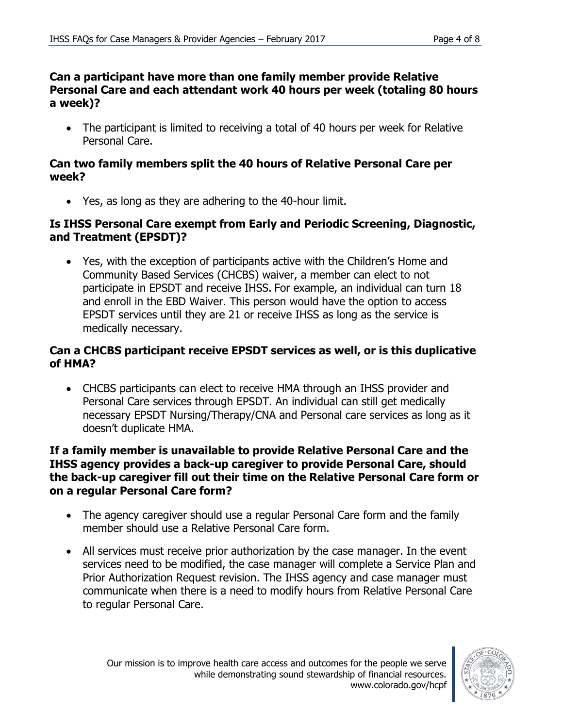#### **Can a participant have more than one family member provide Relative Personal Care and each attendant work 40 hours per week (totaling 80 hours a week)?**

• The participant is limited to receiving a total of 40 hours per week for Relative Personal Care.

#### **Can two family members split the 40 hours of Relative Personal Care per week?**

Yes, as long as they are adhering to the 40-hour limit.

#### **Is IHSS Personal Care exempt from Early and Periodic Screening, Diagnostic, and Treatment (EPSDT)?**

 Yes, with the exception of participants active with the Children's Home and Community Based Services (CHCBS) waiver, a member can elect to not participate in EPSDT and receive IHSS. For example, an individual can turn 18 and enroll in the EBD Waiver. This person would have the option to access EPSDT services until they are 21 or receive IHSS as long as the service is medically necessary.

#### **Can a CHCBS participant receive EPSDT services as well, or is this duplicative of HMA?**

 CHCBS participants can elect to receive HMA through an IHSS provider and Personal Care services through EPSDT. An individual can still get medically necessary EPSDT Nursing/Therapy/CNA and Personal care services as long as it doesn't duplicate HMA.

#### **If a family member is unavailable to provide Relative Personal Care and the IHSS agency provides a back-up caregiver to provide Personal Care, should the back-up caregiver fill out their time on the Relative Personal Care form or on a regular Personal Care form?**

- The agency caregiver should use a regular Personal Care form and the family member should use a Relative Personal Care form.
- All services must receive prior authorization by the case manager. In the event services need to be modified, the case manager will complete a Service Plan and Prior Authorization Request revision. The IHSS agency and case manager must communicate when there is a need to modify hours from Relative Personal Care to regular Personal Care.

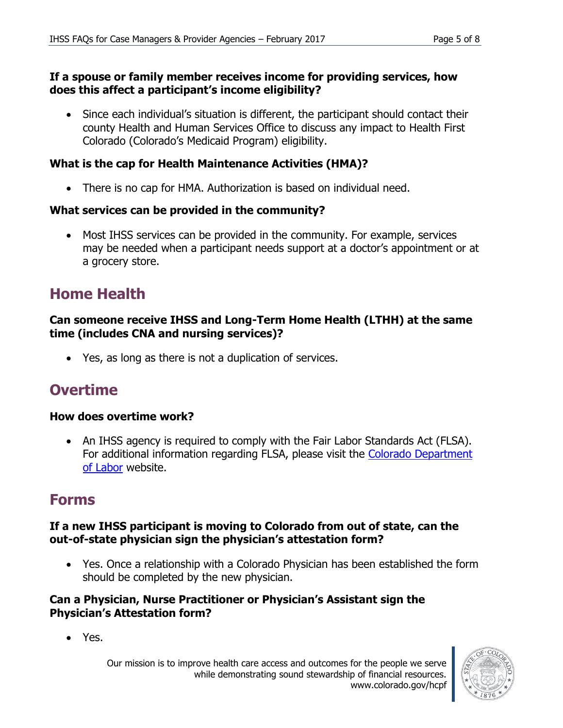#### **If a spouse or family member receives income for providing services, how does this affect a participant's income eligibility?**

 Since each individual's situation is different, the participant should contact their county Health and Human Services Office to discuss any impact to Health First Colorado (Colorado's Medicaid Program) eligibility.

#### **What is the cap for Health Maintenance Activities (HMA)?**

There is no cap for HMA. Authorization is based on individual need.

#### **What services can be provided in the community?**

 Most IHSS services can be provided in the community. For example, services may be needed when a participant needs support at a doctor's appointment or at a grocery store.

### **Home Health**

#### **Can someone receive IHSS and Long-Term Home Health (LTHH) at the same time (includes CNA and nursing services)?**

Yes, as long as there is not a duplication of services.

# **Overtime**

#### **How does overtime work?**

• An IHSS agency is required to comply with the Fair Labor Standards Act (FLSA). For additional information regarding FLSA, please visit the [Colorado Department](https://www.colorado.gov/pacific/cdle/overtime)  [of Labor](https://www.colorado.gov/pacific/cdle/overtime) website.

### **Forms**

#### **If a new IHSS participant is moving to Colorado from out of state, can the out-of-state physician sign the physician's attestation form?**

 Yes. Once a relationship with a Colorado Physician has been established the form should be completed by the new physician.

#### **Can a Physician, Nurse Practitioner or Physician's Assistant sign the Physician's Attestation form?**

Yes.

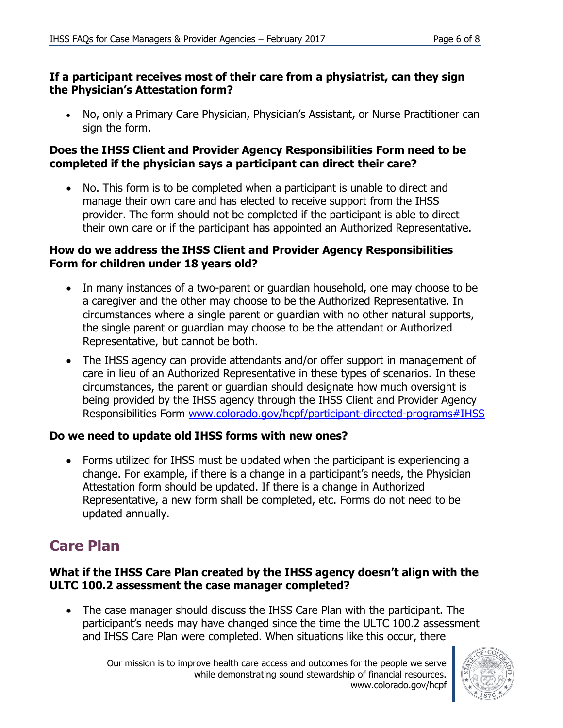#### **If a participant receives most of their care from a physiatrist, can they sign the Physician's Attestation form?**

 No, only a Primary Care Physician, Physician's Assistant, or Nurse Practitioner can sign the form.

#### **Does the IHSS Client and Provider Agency Responsibilities Form need to be completed if the physician says a participant can direct their care?**

 No. This form is to be completed when a participant is unable to direct and manage their own care and has elected to receive support from the IHSS provider. The form should not be completed if the participant is able to direct their own care or if the participant has appointed an Authorized Representative.

#### **How do we address the IHSS Client and Provider Agency Responsibilities Form for children under 18 years old?**

- In many instances of a two-parent or guardian household, one may choose to be a caregiver and the other may choose to be the Authorized Representative. In circumstances where a single parent or guardian with no other natural supports, the single parent or guardian may choose to be the attendant or Authorized Representative, but cannot be both.
- The IHSS agency can provide attendants and/or offer support in management of care in lieu of an Authorized Representative in these types of scenarios. In these circumstances, the parent or guardian should designate how much oversight is being provided by the IHSS agency through the IHSS Client and Provider Agency Responsibilities Form [www.colorado.gov/hcpf/participant-directed-programs#IHSS](http://www.colorado.gov/hcpf/participant-directed-programs#IHSS)

#### **Do we need to update old IHSS forms with new ones?**

 Forms utilized for IHSS must be updated when the participant is experiencing a change. For example, if there is a change in a participant's needs, the Physician Attestation form should be updated. If there is a change in Authorized Representative, a new form shall be completed, etc. Forms do not need to be updated annually.

### **Care Plan**

#### **What if the IHSS Care Plan created by the IHSS agency doesn't align with the ULTC 100.2 assessment the case manager completed?**

 The case manager should discuss the IHSS Care Plan with the participant. The participant's needs may have changed since the time the ULTC 100.2 assessment and IHSS Care Plan were completed. When situations like this occur, there

Our mission is to improve health care access and outcomes for the people we serve while demonstrating sound stewardship of financial resources. www.colorado.gov/hcpf

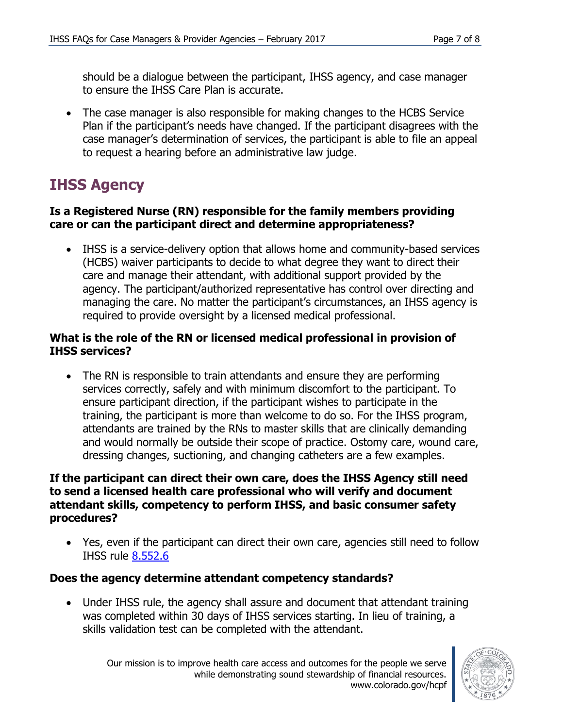should be a dialogue between the participant, IHSS agency, and case manager to ensure the IHSS Care Plan is accurate.

• The case manager is also responsible for making changes to the HCBS Service Plan if the participant's needs have changed. If the participant disagrees with the case manager's determination of services, the participant is able to file an appeal to request a hearing before an administrative law judge.

# **IHSS Agency**

#### **Is a Registered Nurse (RN) responsible for the family members providing care or can the participant direct and determine appropriateness?**

 IHSS is a service-delivery option that allows home and community-based services (HCBS) waiver participants to decide to what degree they want to direct their care and manage their attendant, with additional support provided by the agency. The participant/authorized representative has control over directing and managing the care. No matter the participant's circumstances, an IHSS agency is required to provide oversight by a licensed medical professional.

#### **What is the role of the RN or licensed medical professional in provision of IHSS services?**

• The RN is responsible to train attendants and ensure they are performing services correctly, safely and with minimum discomfort to the participant. To ensure participant direction, if the participant wishes to participate in the training, the participant is more than welcome to do so. For the IHSS program, attendants are trained by the RNs to master skills that are clinically demanding and would normally be outside their scope of practice. Ostomy care, wound care, dressing changes, suctioning, and changing catheters are a few examples.

#### **If the participant can direct their own care, does the IHSS Agency still need to send a licensed health care professional who will verify and document attendant skills, competency to perform IHSS, and basic consumer safety procedures?**

 Yes, even if the participant can direct their own care, agencies still need to follow IHSS rule [8.552.6](http://www.sos.state.co.us/CCR/GenerateRulePdf.do?ruleVersionId=6686&fileName=10%20CCR%202505-10%208.500) 

#### **Does the agency determine attendant competency standards?**

• Under IHSS rule, the agency shall assure and document that attendant training was completed within 30 days of IHSS services starting. In lieu of training, a skills validation test can be completed with the attendant.